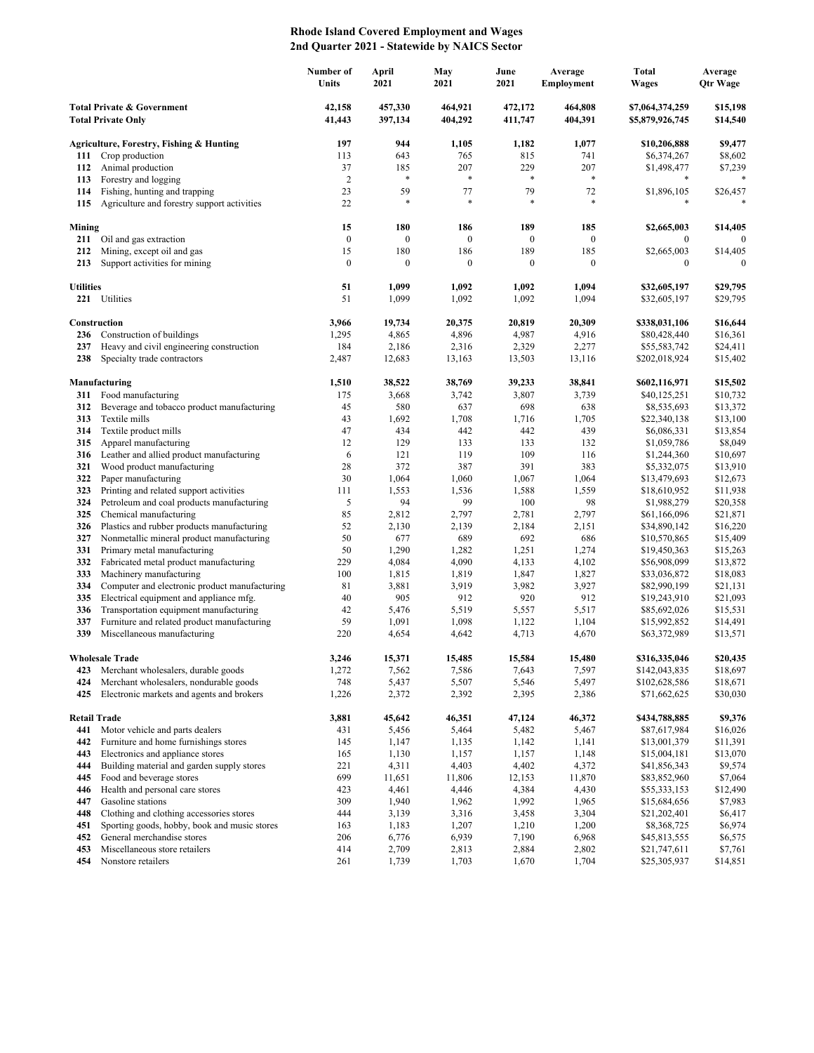## **Rhode Island Covered Employment and Wages 2nd Quarter 2021 - Statewide by NAICS Sector**

|                                                         |                                                                     | Number of<br>Units | April<br>2021      | May<br>2021        | June<br>2021       | Average<br><b>Employment</b> | <b>Total</b><br><b>Wages</b>       | Average<br>Otr Wage  |
|---------------------------------------------------------|---------------------------------------------------------------------|--------------------|--------------------|--------------------|--------------------|------------------------------|------------------------------------|----------------------|
| Total Private & Government<br><b>Total Private Only</b> |                                                                     | 42,158<br>41,443   | 457,330<br>397,134 | 464,921<br>404,292 | 472,172<br>411,747 | 464,808<br>404,391           | \$7,064,374,259<br>\$5,879,926,745 | \$15,198<br>\$14,540 |
|                                                         | Agriculture, Forestry, Fishing & Hunting                            | 197                | 944                | 1,105              | 1,182              | 1,077                        | \$10,206,888                       | \$9,477              |
| 111                                                     | Crop production                                                     | 113                | 643                | 765                | 815                | 741                          | \$6,374,267                        | \$8,602              |
| 112                                                     | Animal production                                                   | 37                 | 185                | 207                | 229                | 207                          | \$1,498,477                        | \$7,239              |
| 113                                                     | Forestry and logging                                                | $\overline{2}$     | $\ast$             | *                  | $\ast$             | $\ast$                       | *                                  |                      |
| 114                                                     | Fishing, hunting and trapping                                       | 23                 | 59                 | 77                 | 79                 | 72                           | \$1,896,105                        | \$26,457             |
| 115                                                     | Agriculture and forestry support activities                         | 22                 | *                  |                    | $\ast$             |                              | *                                  |                      |
| Mining                                                  |                                                                     | 15                 | 180                | 186                | 189                | 185                          | \$2,665,003                        | \$14,405             |
| 211                                                     | Oil and gas extraction                                              | $\boldsymbol{0}$   | $\boldsymbol{0}$   | $\boldsymbol{0}$   | $\boldsymbol{0}$   | $\boldsymbol{0}$             | $\mathbf{0}$                       | $\mathbf{0}$         |
| 212                                                     | Mining, except oil and gas                                          | 15                 | 180                | 186                | 189                | 185                          | \$2,665,003                        | \$14,405             |
| 213                                                     | Support activities for mining                                       | $\boldsymbol{0}$   | $\boldsymbol{0}$   | $\boldsymbol{0}$   | $\boldsymbol{0}$   | $\mathbf{0}$                 | $\boldsymbol{0}$                   | $\theta$             |
| <b>Utilities</b>                                        |                                                                     | 51                 | 1,099              | 1,092              | 1,092              | 1,094                        | \$32,605,197                       | \$29,795             |
|                                                         | 221 Utilities                                                       | 51                 | 1,099              | 1,092              | 1,092              | 1,094                        | \$32,605,197                       | \$29,795             |
|                                                         |                                                                     |                    |                    |                    |                    |                              |                                    |                      |
|                                                         | Construction                                                        | 3,966              | 19,734             | 20,375             | 20,819             | 20,309                       | \$338,031,106                      | \$16,644             |
| 236                                                     | Construction of buildings                                           | 1,295              | 4,865              | 4,896              | 4,987              | 4,916                        | \$80,428,440                       | \$16,361             |
| 237                                                     | Heavy and civil engineering construction                            | 184                | 2,186              | 2,316              | 2,329              | 2,277                        | \$55,583,742                       | \$24,411             |
| 238                                                     | Specialty trade contractors                                         | 2,487              | 12,683             | 13,163             | 13,503             | 13,116                       | \$202,018,924                      | \$15,402             |
|                                                         | Manufacturing                                                       | 1,510              | 38,522             | 38,769             | 39,233             | 38.841                       | \$602,116,971                      | \$15,502             |
| 311                                                     | Food manufacturing                                                  | 175                | 3,668              | 3,742              | 3,807              | 3,739                        | \$40,125,251                       | \$10,732             |
| 312                                                     | Beverage and tobacco product manufacturing                          | 45                 | 580                | 637                | 698                | 638                          | \$8,535,693                        | \$13,372             |
| 313                                                     | Textile mills                                                       | 43                 | 1,692              | 1,708              | 1,716              | 1,705                        | \$22,340,138                       | \$13,100             |
| 314                                                     | Textile product mills                                               | 47                 | 434                | 442                | 442                | 439                          | \$6,086,331                        | \$13,854             |
| 315                                                     | Apparel manufacturing                                               | 12                 | 129                | 133                | 133                | 132                          | \$1,059,786                        | \$8,049              |
| 316                                                     | Leather and allied product manufacturing                            | 6                  | 121                | 119                | 109                | 116                          | \$1,244,360                        | \$10,697             |
| 321                                                     | Wood product manufacturing                                          | 28                 | 372                | 387                | 391                | 383                          | \$5,332,075                        | \$13,910             |
| 322                                                     | Paper manufacturing                                                 | 30                 | 1,064              | 1,060              | 1,067              | 1,064                        | \$13,479,693                       | \$12,673             |
| 323                                                     | Printing and related support activities                             | 111<br>5           | 1,553<br>94        | 1,536<br>99        | 1,588              | 1,559                        | \$18,610,952                       | \$11,938             |
| 324<br>325                                              | Petroleum and coal products manufacturing<br>Chemical manufacturing | 85                 | 2,812              | 2,797              | 100<br>2,781       | 98<br>2,797                  | \$1,988,279<br>\$61,166,096        | \$20,358<br>\$21,871 |
| 326                                                     | Plastics and rubber products manufacturing                          | 52                 | 2,130              | 2,139              | 2,184              | 2,151                        | \$34,890,142                       | \$16,220             |
| 327                                                     | Nonmetallic mineral product manufacturing                           | 50                 | 677                | 689                | 692                | 686                          | \$10,570,865                       | \$15,409             |
| 331                                                     | Primary metal manufacturing                                         | 50                 | 1,290              | 1,282              | 1,251              | 1,274                        | \$19,450,363                       | \$15,263             |
| 332                                                     | Fabricated metal product manufacturing                              | 229                | 4,084              | 4,090              | 4,133              | 4,102                        | \$56,908,099                       | \$13,872             |
| 333                                                     | Machinery manufacturing                                             | 100                | 1,815              | 1,819              | 1,847              | 1,827                        | \$33,036,872                       | \$18,083             |
| 334                                                     | Computer and electronic product manufacturing                       | 81                 | 3,881              | 3,919              | 3,982              | 3,927                        | \$82,990,199                       | \$21,131             |
| 335                                                     | Electrical equipment and appliance mfg.                             | 40                 | 905                | 912                | 920                | 912                          | \$19,243,910                       | \$21,093             |
| 336                                                     | Transportation equipment manufacturing                              | 42                 | 5,476              | 5,519              | 5,557              | 5,517                        | \$85,692,026                       | \$15,531             |
| 337                                                     | Furniture and related product manufacturing                         | 59                 | 1,091              | 1,098              | 1,122              | 1,104                        | \$15,992,852                       | \$14,491             |
| 339                                                     | Miscellaneous manufacturing                                         | 220                | 4,654              | 4,642              | 4,713              | 4,670                        | \$63,372,989                       | \$13,571             |
|                                                         | <b>Wholesale Trade</b>                                              | 3,246              | 15,371             | 15,485             | 15,584             | 15,480                       | \$316,335,046                      | \$20,435             |
|                                                         | 423 Merchant wholesalers, durable goods                             | 1,272              | 7,562              | 7,586              | 7,643              | 7,597                        | \$142,043,835                      | \$18,697             |
| 424                                                     | Merchant wholesalers, nondurable goods                              | 748                | 5,437              | 5,507              | 5,546              | 5,497                        | \$102,628,586                      | \$18,671             |
| 425                                                     | Electronic markets and agents and brokers                           | 1,226              | 2,372              | 2,392              | 2,395              | 2,386                        | \$71,662,625                       | \$30,030             |
|                                                         | <b>Retail Trade</b>                                                 |                    | 45,642             |                    |                    | 46,372                       | \$434,788,885                      | \$9,376              |
| 441                                                     | Motor vehicle and parts dealers                                     | 3,881<br>431       | 5,456              | 46,351<br>5,464    | 47,124<br>5,482    | 5,467                        | \$87,617,984                       | \$16,026             |
| 442                                                     | Furniture and home furnishings stores                               | 145                | 1,147              | 1,135              | 1,142              | 1,141                        | \$13,001,379                       | \$11,391             |
| 443                                                     | Electronics and appliance stores                                    | 165                | 1,130              | 1,157              | 1,157              | 1,148                        | \$15,004,181                       | \$13,070             |
| 444                                                     | Building material and garden supply stores                          | 221                | 4,311              | 4,403              | 4,402              | 4,372                        | \$41,856,343                       | \$9,574              |
| 445                                                     | Food and beverage stores                                            | 699                | 11,651             | 11,806             | 12,153             | 11,870                       | \$83,852,960                       | \$7,064              |
| 446                                                     | Health and personal care stores                                     | 423                | 4,461              | 4,446              | 4,384              | 4,430                        | \$55,333,153                       | \$12,490             |
| 447                                                     | Gasoline stations                                                   | 309                | 1,940              | 1,962              | 1,992              | 1,965                        | \$15,684,656                       | \$7,983              |
| 448                                                     | Clothing and clothing accessories stores                            | 444                | 3,139              | 3,316              | 3,458              | 3,304                        | \$21,202,401                       | \$6,417              |
| 451                                                     | Sporting goods, hobby, book and music stores                        | 163                | 1,183              | 1,207              | 1,210              | 1,200                        | \$8,368,725                        | \$6,974              |
| 452<br>453                                              | General merchandise stores<br>Miscellaneous store retailers         | 206<br>414         | 6,776<br>2,709     | 6,939<br>2,813     | 7,190<br>2,884     | 6,968<br>2,802               | \$45,813,555<br>\$21,747,611       | \$6,575<br>\$7,761   |
| 454                                                     | Nonstore retailers                                                  | 261                | 1,739              | 1,703              | 1,670              | 1,704                        | \$25,305,937                       | \$14,851             |
|                                                         |                                                                     |                    |                    |                    |                    |                              |                                    |                      |